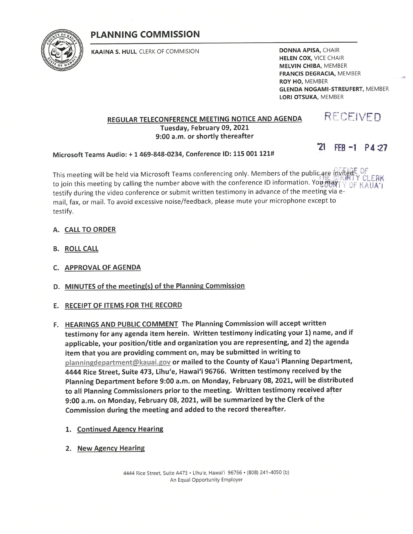# **PLANNING COMMISSION**



KAAINA S. HULL, CLERK OF COMMISION

**DONNA APISA, CHAIR HELEN COX, VICE CHAIR MELVIN CHIBA, MEMBER FRANCIS DEGRACIA, MEMBER** ROY HO, MEMBER **GLENDA NOGAMI-STREUFERT, MEMBER** LORI OTSUKA, MEMBER

#### REGULAR TELECONFERENCE MEETING NOTICE AND AGENDA Tuesday, February 09, 2021 9:00 a.m. or shortly thereafter

 $21$  FEB -1 P4:27

RECEIVED

Microsoft Teams Audio: + 1 469-848-0234, Conference ID: 115 001 121#

This meeting will be held via Microsoft Teams conferencing only. Members of the public-are myteds. OF LA CEEBK to join this meeting by calling the number above with the conference ID information. You may TY OF KAUA'I testify during the video conference or submit written testimony in advance of the meeting via email, fax, or mail. To avoid excessive noise/feedback, please mute your microphone except to testify.

#### A. CALL TO ORDER

- **B. ROLL CALL**
- C. APPROVAL OF AGENDA
- D. MINUTES of the meeting(s) of the Planning Commission

## E. RECEIPT OF ITEMS FOR THE RECORD

- F. HEARINGS AND PUBLIC COMMENT The Planning Commission will accept written testimony for any agenda item herein. Written testimony indicating your 1) name, and if applicable, your position/title and organization you are representing, and 2) the agenda item that you are providing comment on, may be submitted in writing to planningdepartment@kauai.gov or mailed to the County of Kaua'i Planning Department, 4444 Rice Street, Suite 473, Līhu'e, Hawai'i 96766. Written testimony received by the Planning Department before 9:00 a.m. on Monday, February 08, 2021, will be distributed to all Planning Commissioners prior to the meeting. Written testimony received after 9:00 a.m. on Monday, February 08, 2021, will be summarized by the Clerk of the Commission during the meeting and added to the record thereafter.
	- 1. Continued Agency Hearing
	- 2. New Agency Hearing

4444 Rice Street, Suite A473 · Līhu'e, Hawai'i 96766 · (808) 241-4050 (b) An Equal Opportunity Employer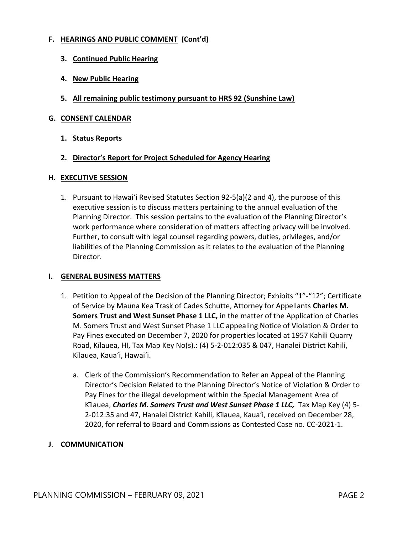# **F. HEARINGS AND PUBLIC COMMENT (Cont'd)**

- **3. Continued Public Hearing**
- **4. New Public Hearing**
- **5. All remaining public testimony pursuant to HRS 92 (Sunshine Law)**

## **G. CONSENT CALENDAR**

**1. Status Reports**

# **2. Director's Report for Project Scheduled for Agency Hearing**

## **H. EXECUTIVE SESSION**

1. Pursuant to Hawai'i Revised Statutes Section 92-5(a)(2 and 4), the purpose of this executive session is to discuss matters pertaining to the annual evaluation of the Planning Director. This session pertains to the evaluation of the Planning Director's work performance where consideration of matters affecting privacy will be involved. Further, to consult with legal counsel regarding powers, duties, privileges, and/or liabilities of the Planning Commission as it relates to the evaluation of the Planning Director.

## **I. GENERAL BUSINESS MATTERS**

- 1. Petition to Appeal of the Decision of the Planning Director; Exhibits "1"-"12"; Certificate of Service by Mauna Kea Trask of Cades Schutte, Attorney for Appellants **Charles M. Somers Trust and West Sunset Phase 1 LLC,** in the matter of the Application of Charles M. Somers Trust and West Sunset Phase 1 LLC appealing Notice of Violation & Order to Pay Fines executed on December 7, 2020 for properties located at 1957 Kahili Quarry Road, Kīlauea, HI, Tax Map Key No(s).: (4) 5-2-012:035 & 047, Hanalei District Kahili, Kīlauea, Kaua'i, Hawai'i.
	- a. Clerk of the Commission's Recommendation to Refer an Appeal of the Planning Director's Decision Related to the Planning Director's Notice of Violation & Order to Pay Fines for the illegal development within the Special Management Area of Kīlauea, *Charles M. Somers Trust and West Sunset Phase 1 LLC,* Tax Map Key (4) 5- 2-012:35 and 47, Hanalei District Kahili, Kīlauea, Kaua'i, received on December 28, 2020, for referral to Board and Commissions as Contested Case no. CC-2021-1.

# **J**. **COMMUNICATION**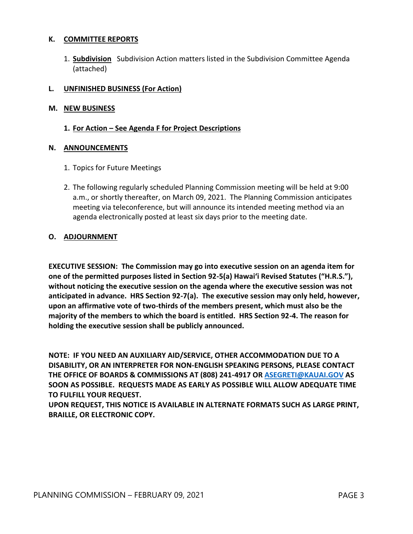## **K. COMMITTEE REPORTS**

1. **Subdivision** Subdivision Action matters listed in the Subdivision Committee Agenda (attached)

## **L. UNFINISHED BUSINESS (For Action)**

## **M. NEW BUSINESS**

## **1. For Action – See Agenda F for Project Descriptions**

#### **N. ANNOUNCEMENTS**

- 1. Topics for Future Meetings
- 2. The following regularly scheduled Planning Commission meeting will be held at 9:00 a.m., or shortly thereafter, on March 09, 2021. The Planning Commission anticipates meeting via teleconference, but will announce its intended meeting method via an agenda electronically posted at least six days prior to the meeting date.

## **O. ADJOURNMENT**

**EXECUTIVE SESSION: The Commission may go into executive session on an agenda item for one of the permitted purposes listed in Section 92-5(a) Hawai'i Revised Statutes ("H.R.S."), without noticing the executive session on the agenda where the executive session was not anticipated in advance. HRS Section 92-7(a). The executive session may only held, however, upon an affirmative vote of two-thirds of the members present, which must also be the majority of the members to which the board is entitled. HRS Section 92-4. The reason for holding the executive session shall be publicly announced.**

**NOTE: IF YOU NEED AN AUXILIARY AID/SERVICE, OTHER ACCOMMODATION DUE TO A DISABILITY, OR AN INTERPRETER FOR NON-ENGLISH SPEAKING PERSONS, PLEASE CONTACT THE OFFICE OF BOARDS & COMMISSIONS AT (808) 241-4917 OR [ASEGRETI@KAUAI.GOV](mailto:ASEGRETI@KAUAI.GOV) AS SOON AS POSSIBLE. REQUESTS MADE AS EARLY AS POSSIBLE WILL ALLOW ADEQUATE TIME TO FULFILL YOUR REQUEST.** 

**UPON REQUEST, THIS NOTICE IS AVAILABLE IN ALTERNATE FORMATS SUCH AS LARGE PRINT, BRAILLE, OR ELECTRONIC COPY.**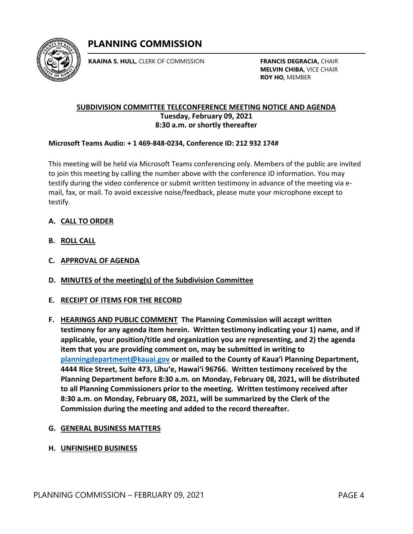

**KAAINA S. HULL,** CLERK OF COMMISSION

**FRANCIS DEGRACIA,** CHAIR **MELVIN CHIBA,** VICE CHAIR **ROY HO,** MEMBER

# **SUBDIVISION COMMITTEE TELECONFERENCE MEETING NOTICE AND AGENDA Tuesday, February 09, 2021 8:30 a.m. or shortly thereafter**

# **Microsoft Teams Audio: + 1 469-848-0234, Conference ID: 212 932 174#**

This meeting will be held via Microsoft Teams conferencing only. Members of the public are invited to join this meeting by calling the number above with the conference ID information. You may testify during the video conference or submit written testimony in advance of the meeting via email, fax, or mail. To avoid excessive noise/feedback, please mute your microphone except to testify.

# **A. CALL TO ORDER**

- **B. ROLL CALL**
- **C. APPROVAL OF AGENDA**
- **D. MINUTES of the meeting(s) of the Subdivision Committee**

## **E. RECEIPT OF ITEMS FOR THE RECORD**

**F. HEARINGS AND PUBLIC COMMENT The Planning Commission will accept written testimony for any agenda item herein. Written testimony indicating your 1) name, and if applicable, your position/title and organization you are representing, and 2) the agenda item that you are providing comment on, may be submitted in writing to [planningdepartment@kauai.gov](mailto:planningdepartment@kauai.gov) or mailed to the County of Kaua'i Planning Department, 4444 Rice Street, Suite 473, Līhu'e, Hawai'i 96766. Written testimony received by the Planning Department before 8:30 a.m. on Monday, February 08, 2021, will be distributed to all Planning Commissioners prior to the meeting. Written testimony received after 8:30 a.m. on Monday, February 08, 2021, will be summarized by the Clerk of the Commission during the meeting and added to the record thereafter.**

## **G. GENERAL BUSINESS MATTERS**

## **H. UNFINISHED BUSINESS**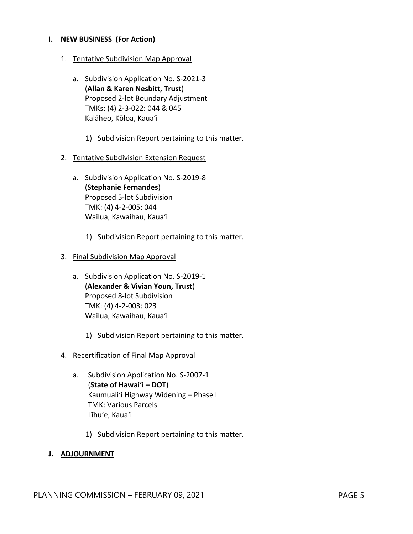## **I. NEW BUSINESS (For Action)**

- 1. Tentative Subdivision Map Approval
	- a. Subdivision Application No. S-2021-3 (**Allan & Karen Nesbitt, Trust**) Proposed 2-lot Boundary Adjustment TMKs: (4) 2-3-022: 044 & 045 Kalāheo, Kōloa, Kaua'i
		- 1) Subdivision Report pertaining to this matter.
- 2. Tentative Subdivision Extension Request
	- a. Subdivision Application No. S-2019-8 (**Stephanie Fernandes**) Proposed 5-lot Subdivision TMK: (4) 4-2-005: 044 Wailua, Kawaihau, Kaua'i
		- 1) Subdivision Report pertaining to this matter.
- 3. Final Subdivision Map Approval
	- a. Subdivision Application No. S-2019-1 (**Alexander & Vivian Youn, Trust**) Proposed 8-lot Subdivision TMK: (4) 4-2-003: 023 Wailua, Kawaihau, Kaua'i
		- 1) Subdivision Report pertaining to this matter.
- 4. Recertification of Final Map Approval
	- a. Subdivision Application No. S-2007-1 (**State of Hawai'i – DOT**) Kaumuali'i Highway Widening – Phase I TMK: Various Parcels Līhu'e, Kaua'i
		- 1) Subdivision Report pertaining to this matter.

#### **J. ADJOURNMENT**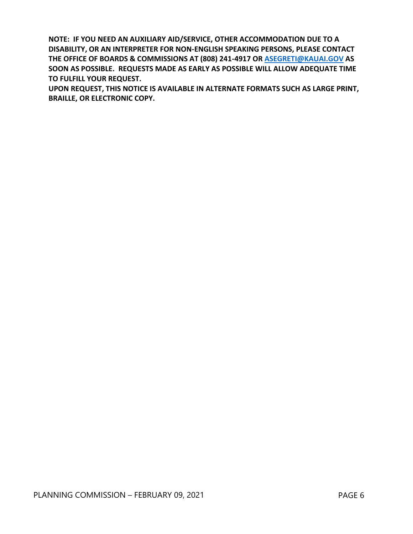**NOTE: IF YOU NEED AN AUXILIARY AID/SERVICE, OTHER ACCOMMODATION DUE TO A DISABILITY, OR AN INTERPRETER FOR NON-ENGLISH SPEAKING PERSONS, PLEASE CONTACT THE OFFICE OF BOARDS & COMMISSIONS AT (808) 241-4917 OR [ASEGRETI@KAUAI.GOV](mailto:ASEGRETI@KAUAI.GOV) AS SOON AS POSSIBLE. REQUESTS MADE AS EARLY AS POSSIBLE WILL ALLOW ADEQUATE TIME TO FULFILL YOUR REQUEST.** 

**UPON REQUEST, THIS NOTICE IS AVAILABLE IN ALTERNATE FORMATS SUCH AS LARGE PRINT, BRAILLE, OR ELECTRONIC COPY.**